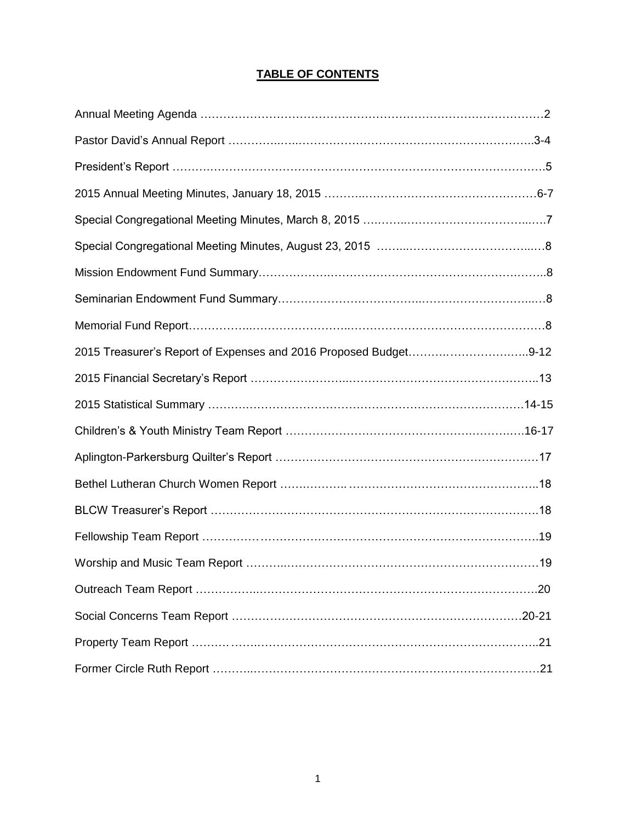# **TABLE OF CONTENTS**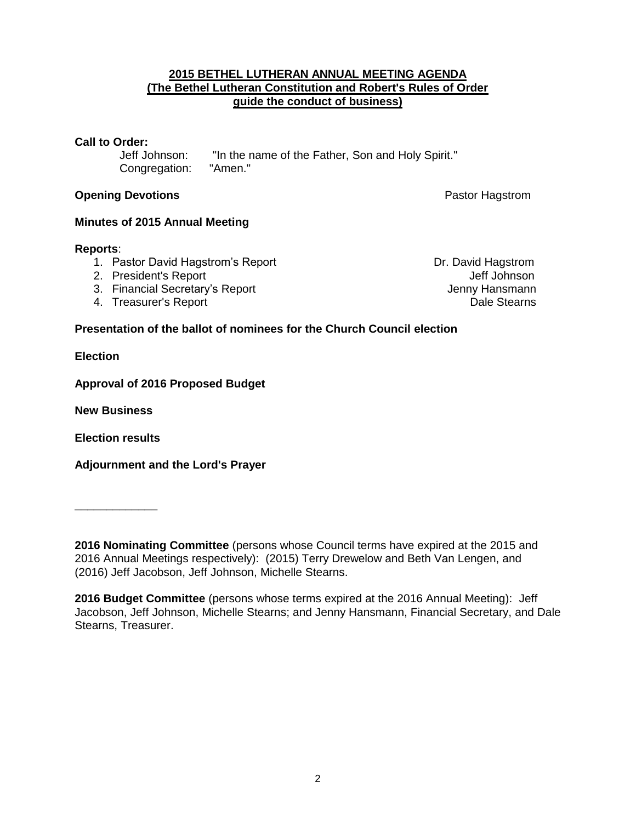#### **2015 BETHEL LUTHERAN ANNUAL MEETING AGENDA (The Bethel Lutheran Constitution and Robert's Rules of Order guide the conduct of business)**

#### **Call to Order:**

Jeff Johnson: "In the name of the Father, Son and Holy Spirit."<br>Congregation: "Amen" Congregation:

#### **Opening Devotions Pastor Hagstrom Pastor Hagstrom**

#### **Minutes of 2015 Annual Meeting**

#### **Reports**:

- 1. Pastor David Hagstrom's Report **Dr. David Hagstrom**
- 2. President's Report Christian Christian Christian Christian Christian Christian Christian Christian Christian
- 3. Financial Secretary's Report Contract Contract Contract Contract Contract Contract Contract Contract Contract Contract Contract Contract Contract Contract Contract Contract Contract Contract Contract Contract Contract C
- A. Treasurer's Report **Dale Stearns**

### **Presentation of the ballot of nominees for the Church Council election**

**Election**

**Approval of 2016 Proposed Budget** 

**New Business**

**Election results**

**Adjournment and the Lord's Prayer**

\_\_\_\_\_\_\_\_\_\_\_\_\_

**<sup>2016</sup> Nominating Committee** (persons whose Council terms have expired at the 2015 and 2016 Annual Meetings respectively): (2015) Terry Drewelow and Beth Van Lengen, and (2016) Jeff Jacobson, Jeff Johnson, Michelle Stearns.

**<sup>2016</sup> Budget Committee** (persons whose terms expired at the 2016 Annual Meeting): Jeff Jacobson, Jeff Johnson, Michelle Stearns; and Jenny Hansmann, Financial Secretary, and Dale Stearns, Treasurer.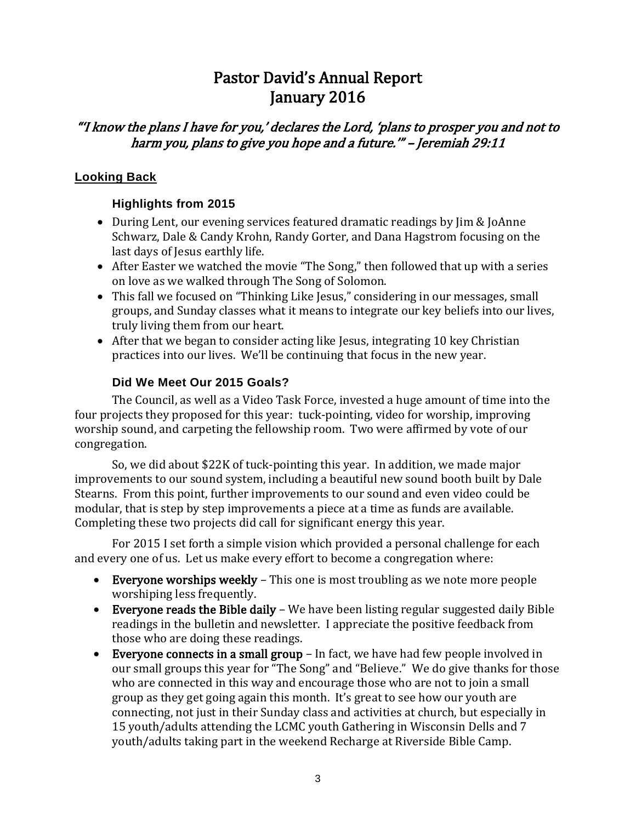# Pastor David's Annual Report January 2016

# "'I know the plans I have for you,' declares the Lord, 'plans to prosper you and not to harm you, plans to give you hope and a future.'" – Jeremiah 29:11

# **Looking Back**

# **Highlights from 2015**

- During Lent, our evening services featured dramatic readings by Jim & JoAnne Schwarz, Dale & Candy Krohn, Randy Gorter, and Dana Hagstrom focusing on the last days of Jesus earthly life.
- After Easter we watched the movie "The Song," then followed that up with a series on love as we walked through The Song of Solomon.
- This fall we focused on "Thinking Like Jesus," considering in our messages, small groups, and Sunday classes what it means to integrate our key beliefs into our lives, truly living them from our heart.
- After that we began to consider acting like Jesus, integrating 10 key Christian practices into our lives. We'll be continuing that focus in the new year.

# **Did We Meet Our 2015 Goals?**

The Council, as well as a Video Task Force, invested a huge amount of time into the four projects they proposed for this year: tuck-pointing, video for worship, improving worship sound, and carpeting the fellowship room. Two were affirmed by vote of our congregation.

So, we did about \$22K of tuck-pointing this year. In addition, we made major improvements to our sound system, including a beautiful new sound booth built by Dale Stearns. From this point, further improvements to our sound and even video could be modular, that is step by step improvements a piece at a time as funds are available. Completing these two projects did call for significant energy this year.

For 2015 I set forth a simple vision which provided a personal challenge for each and every one of us. Let us make every effort to become a congregation where:

- Everyone worships weekly This one is most troubling as we note more people worshiping less frequently.
- Everyone reads the Bible daily We have been listing regular suggested daily Bible readings in the bulletin and newsletter. I appreciate the positive feedback from those who are doing these readings.
- Everyone connects in a small group In fact, we have had few people involved in our small groups this year for "The Song" and "Believe." We do give thanks for those who are connected in this way and encourage those who are not to join a small group as they get going again this month. It's great to see how our youth are connecting, not just in their Sunday class and activities at church, but especially in 15 youth/adults attending the LCMC youth Gathering in Wisconsin Dells and 7 youth/adults taking part in the weekend Recharge at Riverside Bible Camp.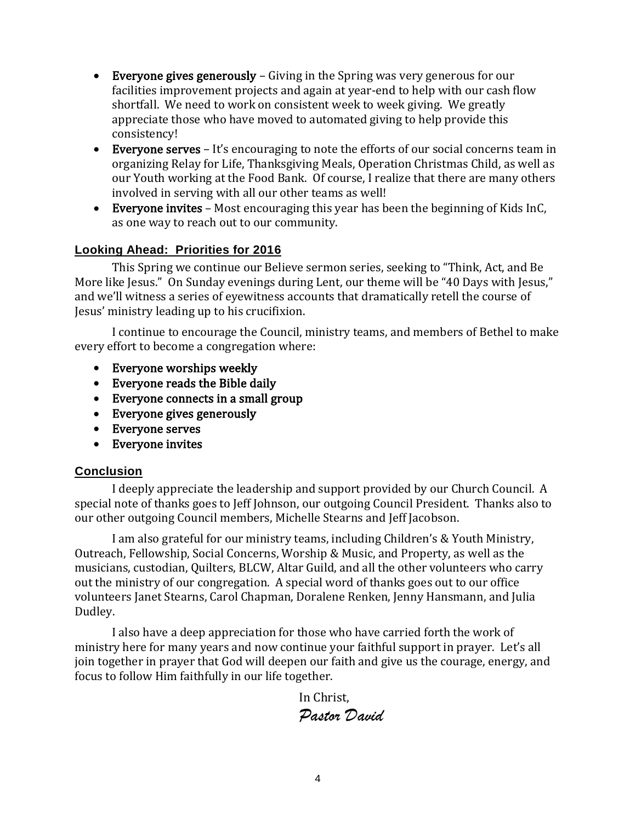- **Everyone gives generously** Giving in the Spring was very generous for our facilities improvement projects and again at year-end to help with our cash flow shortfall. We need to work on consistent week to week giving. We greatly appreciate those who have moved to automated giving to help provide this consistency!
- Everyone serves It's encouraging to note the efforts of our social concerns team in organizing Relay for Life, Thanksgiving Meals, Operation Christmas Child, as well as our Youth working at the Food Bank. Of course, I realize that there are many others involved in serving with all our other teams as well!
- Everyone invites Most encouraging this year has been the beginning of Kids InC, as one way to reach out to our community.

## **Looking Ahead: Priorities for 2016**

This Spring we continue our Believe sermon series, seeking to "Think, Act, and Be More like Jesus." On Sunday evenings during Lent, our theme will be "40 Days with Jesus," and we'll witness a series of eyewitness accounts that dramatically retell the course of Jesus' ministry leading up to his crucifixion.

I continue to encourage the Council, ministry teams, and members of Bethel to make every effort to become a congregation where:

- Everyone worships weekly
- Everyone reads the Bible daily
- Everyone connects in a small group
- Everyone gives generously
- Everyone serves
- Everyone invites

### **Conclusion**

I deeply appreciate the leadership and support provided by our Church Council. A special note of thanks goes to Jeff Johnson, our outgoing Council President. Thanks also to our other outgoing Council members, Michelle Stearns and Jeff Jacobson.

I am also grateful for our ministry teams, including Children's & Youth Ministry, Outreach, Fellowship, Social Concerns, Worship & Music, and Property, as well as the musicians, custodian, Quilters, BLCW, Altar Guild, and all the other volunteers who carry out the ministry of our congregation. A special word of thanks goes out to our office volunteers Janet Stearns, Carol Chapman, Doralene Renken, Jenny Hansmann, and Julia Dudley.

I also have a deep appreciation for those who have carried forth the work of ministry here for many years and now continue your faithful support in prayer. Let's all join together in prayer that God will deepen our faith and give us the courage, energy, and focus to follow Him faithfully in our life together.

In Christ,

*Pastor David*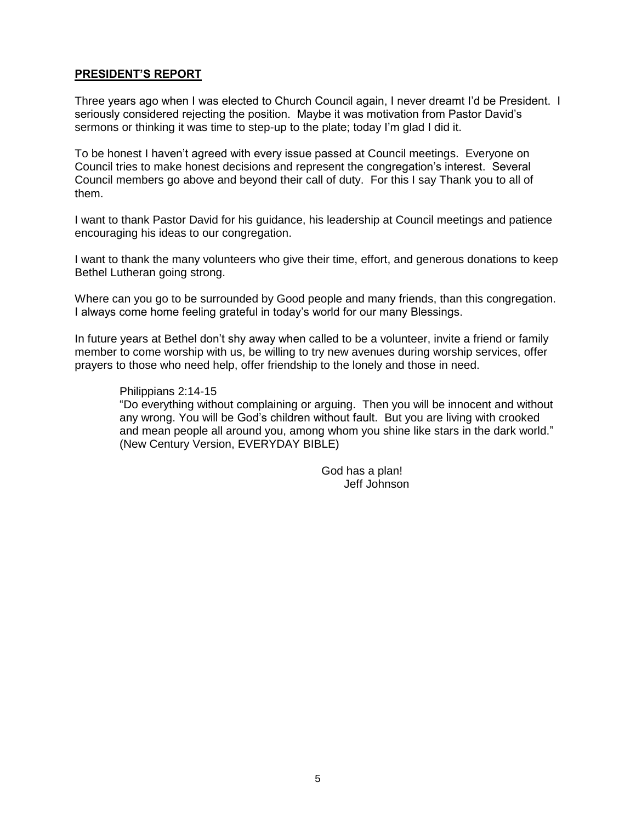#### **PRESIDENT'S REPORT**

Three years ago when I was elected to Church Council again, I never dreamt I'd be President. I seriously considered rejecting the position. Maybe it was motivation from Pastor David's sermons or thinking it was time to step-up to the plate; today I'm glad I did it.

To be honest I haven't agreed with every issue passed at Council meetings. Everyone on Council tries to make honest decisions and represent the congregation's interest. Several Council members go above and beyond their call of duty. For this I say Thank you to all of them.

I want to thank Pastor David for his guidance, his leadership at Council meetings and patience encouraging his ideas to our congregation.

I want to thank the many volunteers who give their time, effort, and generous donations to keep Bethel Lutheran going strong.

Where can you go to be surrounded by Good people and many friends, than this congregation. I always come home feeling grateful in today's world for our many Blessings.

In future years at Bethel don't shy away when called to be a volunteer, invite a friend or family member to come worship with us, be willing to try new avenues during worship services, offer prayers to those who need help, offer friendship to the lonely and those in need.

#### Philippians 2:14-15

"Do everything without complaining or arguing. Then you will be innocent and without any wrong. You will be God's children without fault. But you are living with crooked and mean people all around you, among whom you shine like stars in the dark world." (New Century Version, EVERYDAY BIBLE)

> God has a plan! Jeff Johnson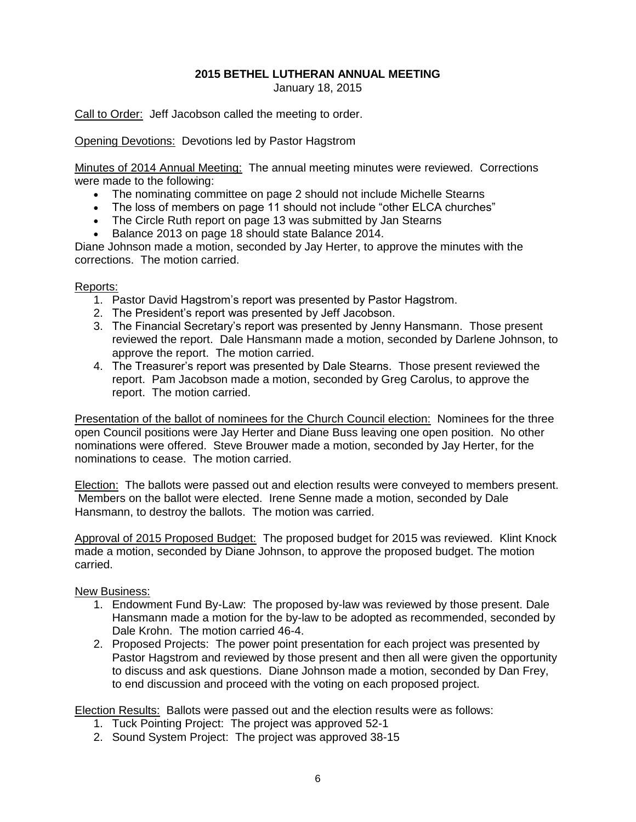#### **2015 BETHEL LUTHERAN ANNUAL MEETING** January 18, 2015

Call to Order: Jeff Jacobson called the meeting to order.

Opening Devotions: Devotions led by Pastor Hagstrom

Minutes of 2014 Annual Meeting: The annual meeting minutes were reviewed. Corrections were made to the following:

- The nominating committee on page 2 should not include Michelle Stearns
- The loss of members on page 11 should not include "other ELCA churches"
- The Circle Ruth report on page 13 was submitted by Jan Stearns
- Balance 2013 on page 18 should state Balance 2014.

Diane Johnson made a motion, seconded by Jay Herter, to approve the minutes with the corrections. The motion carried.

#### Reports:

- 1. Pastor David Hagstrom's report was presented by Pastor Hagstrom.
- 2. The President's report was presented by Jeff Jacobson.
- 3. The Financial Secretary's report was presented by Jenny Hansmann. Those present reviewed the report. Dale Hansmann made a motion, seconded by Darlene Johnson, to approve the report. The motion carried.
- 4. The Treasurer's report was presented by Dale Stearns. Those present reviewed the report. Pam Jacobson made a motion, seconded by Greg Carolus, to approve the report. The motion carried.

Presentation of the ballot of nominees for the Church Council election: Nominees for the three open Council positions were Jay Herter and Diane Buss leaving one open position. No other nominations were offered. Steve Brouwer made a motion, seconded by Jay Herter, for the nominations to cease. The motion carried.

Election: The ballots were passed out and election results were conveyed to members present. Members on the ballot were elected. Irene Senne made a motion, seconded by Dale Hansmann, to destroy the ballots. The motion was carried.

Approval of 2015 Proposed Budget: The proposed budget for 2015 was reviewed. Klint Knock made a motion, seconded by Diane Johnson, to approve the proposed budget. The motion carried.

#### New Business:

- 1. Endowment Fund By-Law: The proposed by-law was reviewed by those present. Dale Hansmann made a motion for the by-law to be adopted as recommended, seconded by Dale Krohn. The motion carried 46-4.
- 2. Proposed Projects: The power point presentation for each project was presented by Pastor Hagstrom and reviewed by those present and then all were given the opportunity to discuss and ask questions. Diane Johnson made a motion, seconded by Dan Frey, to end discussion and proceed with the voting on each proposed project.

Election Results: Ballots were passed out and the election results were as follows:

- 1. Tuck Pointing Project: The project was approved 52-1
- 2. Sound System Project: The project was approved 38-15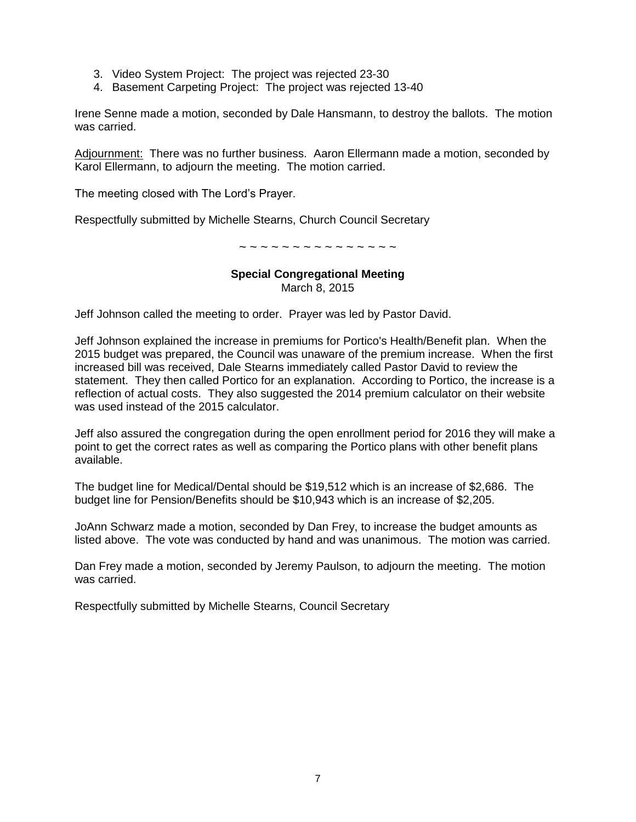- 3. Video System Project: The project was rejected 23-30
- 4. Basement Carpeting Project: The project was rejected 13-40

Irene Senne made a motion, seconded by Dale Hansmann, to destroy the ballots. The motion was carried.

Adjournment: There was no further business. Aaron Ellermann made a motion, seconded by Karol Ellermann, to adjourn the meeting. The motion carried.

The meeting closed with The Lord's Prayer.

Respectfully submitted by Michelle Stearns, Church Council Secretary

~ ~ ~ ~ ~ ~ ~ ~ ~ ~ ~ ~ ~ ~ ~

# **Special Congregational Meeting**

March 8, 2015

Jeff Johnson called the meeting to order. Prayer was led by Pastor David.

Jeff Johnson explained the increase in premiums for Portico's Health/Benefit plan. When the 2015 budget was prepared, the Council was unaware of the premium increase. When the first increased bill was received, Dale Stearns immediately called Pastor David to review the statement. They then called Portico for an explanation. According to Portico, the increase is a reflection of actual costs. They also suggested the 2014 premium calculator on their website was used instead of the 2015 calculator.

Jeff also assured the congregation during the open enrollment period for 2016 they will make a point to get the correct rates as well as comparing the Portico plans with other benefit plans available.

The budget line for Medical/Dental should be \$19,512 which is an increase of \$2,686. The budget line for Pension/Benefits should be \$10,943 which is an increase of \$2,205.

JoAnn Schwarz made a motion, seconded by Dan Frey, to increase the budget amounts as listed above. The vote was conducted by hand and was unanimous. The motion was carried.

Dan Frey made a motion, seconded by Jeremy Paulson, to adjourn the meeting. The motion was carried.

Respectfully submitted by Michelle Stearns, Council Secretary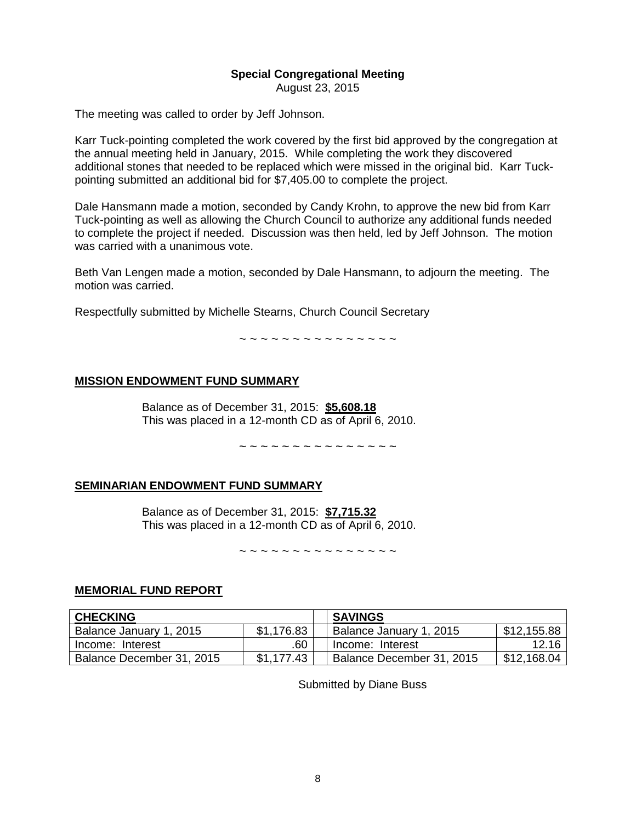# **Special Congregational Meeting**

August 23, 2015

The meeting was called to order by Jeff Johnson.

Karr Tuck-pointing completed the work covered by the first bid approved by the congregation at the annual meeting held in January, 2015. While completing the work they discovered additional stones that needed to be replaced which were missed in the original bid. Karr Tuckpointing submitted an additional bid for \$7,405.00 to complete the project.

Dale Hansmann made a motion, seconded by Candy Krohn, to approve the new bid from Karr Tuck-pointing as well as allowing the Church Council to authorize any additional funds needed to complete the project if needed. Discussion was then held, led by Jeff Johnson. The motion was carried with a unanimous vote.

Beth Van Lengen made a motion, seconded by Dale Hansmann, to adjourn the meeting. The motion was carried.

Respectfully submitted by Michelle Stearns, Church Council Secretary

~ ~ ~ ~ ~ ~ ~ ~ ~ ~ ~ ~ ~ ~ ~

#### **MISSION ENDOWMENT FUND SUMMARY**

Balance as of December 31, 2015: **\$5,608.18** This was placed in a 12-month CD as of April 6, 2010.

~ ~ ~ ~ ~ ~ ~ ~ ~ ~ ~ ~ ~ ~ ~

#### **SEMINARIAN ENDOWMENT FUND SUMMARY**

Balance as of December 31, 2015: **\$7,715.32** This was placed in a 12-month CD as of April 6, 2010.

~ ~ ~ ~ ~ ~ ~ ~ ~ ~ ~ ~ ~ ~ ~

#### **MEMORIAL FUND REPORT**

| <b>CHECKING</b>           |            | <b>SAVINGS</b>            |                    |
|---------------------------|------------|---------------------------|--------------------|
| Balance January 1, 2015   | \$1,176.83 | Balance January 1, 2015   | \$12,155.88        |
| Income: Interest          | .60        | Income: Interest          | 12.16 <sub>1</sub> |
| Balance December 31, 2015 | \$1.177.43 | Balance December 31, 2015 | \$12,168.04        |

Submitted by Diane Buss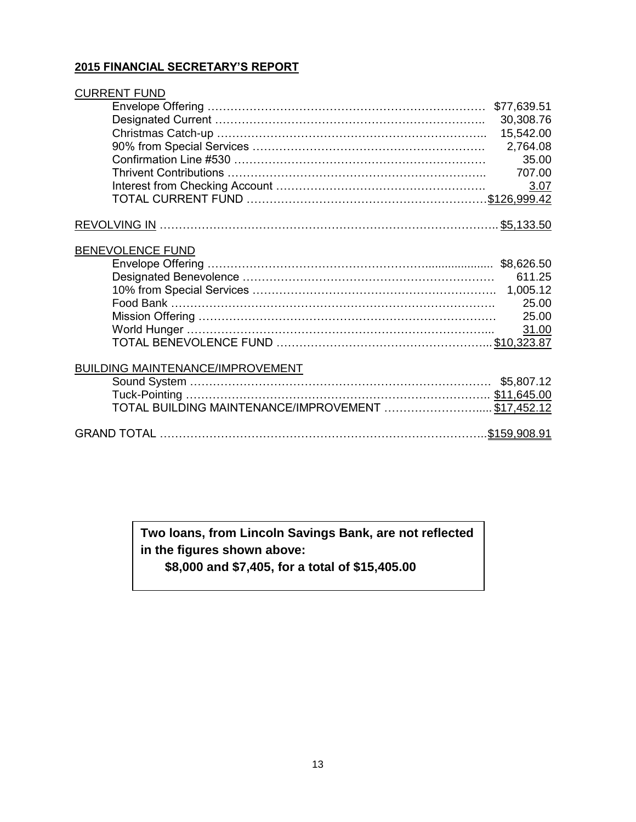#### **2015 FINANCIAL SECRETARY'S REPORT**

| <b>CURRENT FUND</b>                                 |             |
|-----------------------------------------------------|-------------|
|                                                     | \$77,639.51 |
|                                                     | 30,308.76   |
|                                                     | 15,542.00   |
|                                                     | 2,764.08    |
|                                                     | 35.00       |
|                                                     | 707.00      |
|                                                     | 3.07        |
|                                                     |             |
|                                                     |             |
| BENEVOLENCE FUND                                    |             |
|                                                     |             |
|                                                     | 611.25      |
|                                                     |             |
|                                                     | 25.00       |
|                                                     | 25.00       |
|                                                     | 31.00       |
|                                                     |             |
| <b>BUILDING MAINTENANCE/IMPROVEMENT</b>             |             |
|                                                     |             |
|                                                     |             |
| TOTAL BUILDING MAINTENANCE/IMPROVEMENT  \$17,452.12 |             |
|                                                     |             |

**Two loans, from Lincoln Savings Bank, are not reflected in the figures shown above:** 

 **\$8,000 and \$7,405, for a total of \$15,405.00**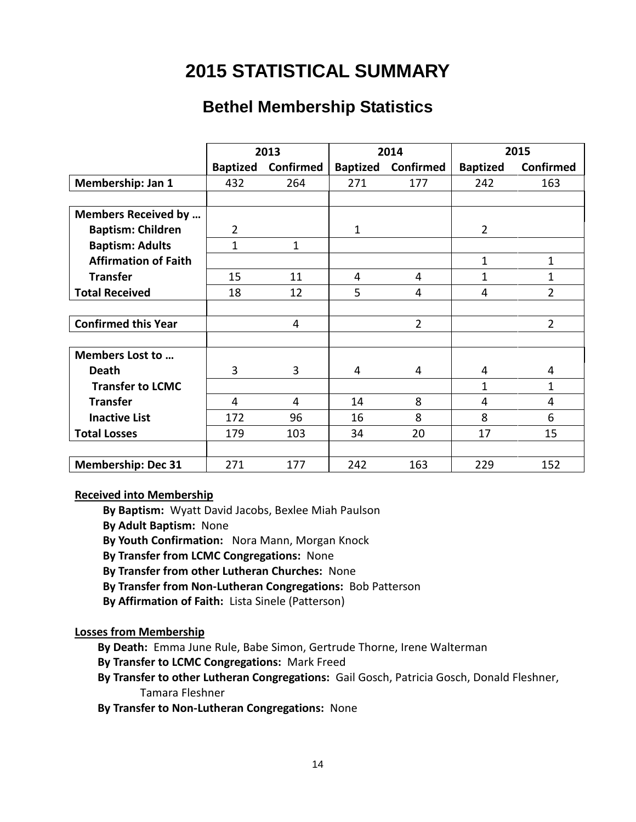# **2015 STATISTICAL SUMMARY**

# **Bethel Membership Statistics**

|                             |                 | 2013      | 2015<br>2014    |                |                 |                |
|-----------------------------|-----------------|-----------|-----------------|----------------|-----------------|----------------|
|                             | <b>Baptized</b> | Confirmed | <b>Baptized</b> | Confirmed      | <b>Baptized</b> | Confirmed      |
| Membership: Jan 1           | 432             | 264       | 271             | 177            | 242             | 163            |
|                             |                 |           |                 |                |                 |                |
| <b>Members Received by </b> |                 |           |                 |                |                 |                |
| <b>Baptism: Children</b>    | $\overline{2}$  |           | $\mathbf{1}$    |                | $\overline{2}$  |                |
| <b>Baptism: Adults</b>      | 1               | 1         |                 |                |                 |                |
| <b>Affirmation of Faith</b> |                 |           |                 |                | 1               | $\mathbf{1}$   |
| <b>Transfer</b>             | 15              | 11        | 4               | 4              | $\mathbf{1}$    | 1              |
| <b>Total Received</b>       | 18              | 12        | 5               | 4              | 4               | $\overline{2}$ |
|                             |                 |           |                 |                |                 |                |
| <b>Confirmed this Year</b>  |                 | 4         |                 | $\overline{2}$ |                 | $\overline{2}$ |
|                             |                 |           |                 |                |                 |                |
| Members Lost to             |                 |           |                 |                |                 |                |
| <b>Death</b>                | 3               | 3         | 4               | 4              | 4               | 4              |
| <b>Transfer to LCMC</b>     |                 |           |                 |                | 1               | $\mathbf{1}$   |
| <b>Transfer</b>             | 4               | 4         | 14              | 8              | 4               | 4              |
| <b>Inactive List</b>        | 172             | 96        | 16              | 8              | 8               | 6              |
| <b>Total Losses</b>         | 179             | 103       | 34              | 20             | 17              | 15             |
|                             |                 |           |                 |                |                 |                |
| <b>Membership: Dec 31</b>   | 271             | 177       | 242             | 163            | 229             | 152            |

#### **Received into Membership**

- **By Baptism:** Wyatt David Jacobs, Bexlee Miah Paulson
- **By Adult Baptism:** None
- **By Youth Confirmation:** Nora Mann, Morgan Knock
- **By Transfer from LCMC Congregations:** None
- **By Transfer from other Lutheran Churches:** None
- **By Transfer from Non-Lutheran Congregations:** Bob Patterson
- **By Affirmation of Faith:** Lista Sinele (Patterson)

#### **Losses from Membership**

- **By Death:** Emma June Rule, Babe Simon, Gertrude Thorne, Irene Walterman
- **By Transfer to LCMC Congregations:** Mark Freed
- **By Transfer to other Lutheran Congregations:** Gail Gosch, Patricia Gosch, Donald Fleshner, Tamara Fleshner
- **By Transfer to Non-Lutheran Congregations:** None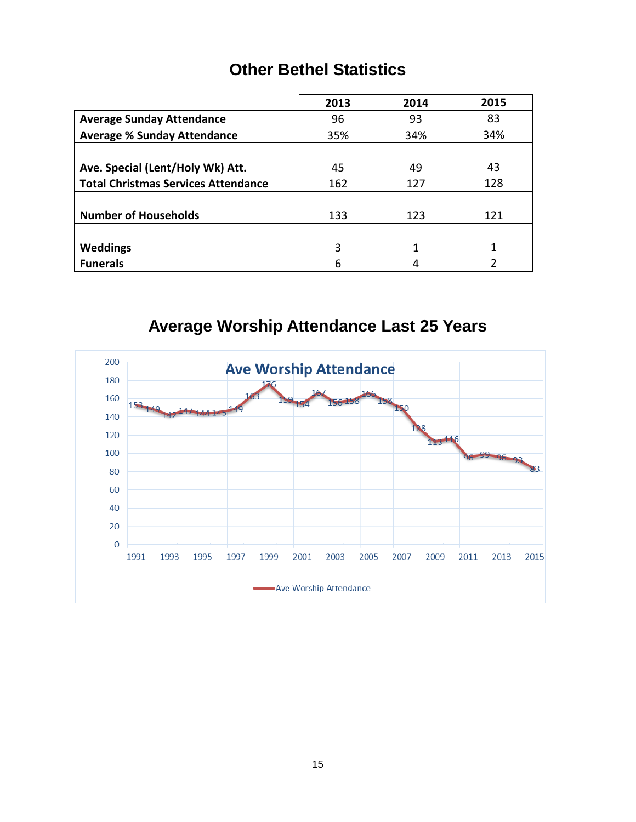# **Other Bethel Statistics**

|                                            | 2013 | 2014 | 2015 |
|--------------------------------------------|------|------|------|
| <b>Average Sunday Attendance</b>           | 96   | 93   | 83   |
| <b>Average % Sunday Attendance</b>         | 35%  | 34%  | 34%  |
|                                            |      |      |      |
| Ave. Special (Lent/Holy Wk) Att.           | 45   | 49   | 43   |
| <b>Total Christmas Services Attendance</b> | 162  | 127  | 128  |
|                                            |      |      |      |
| <b>Number of Households</b>                | 133  | 123  | 121  |
|                                            |      |      |      |
| Weddings                                   | 3    | 1    | 1    |
| <b>Funerals</b>                            | 6    |      |      |

**Average Worship Attendance Last 25 Years**

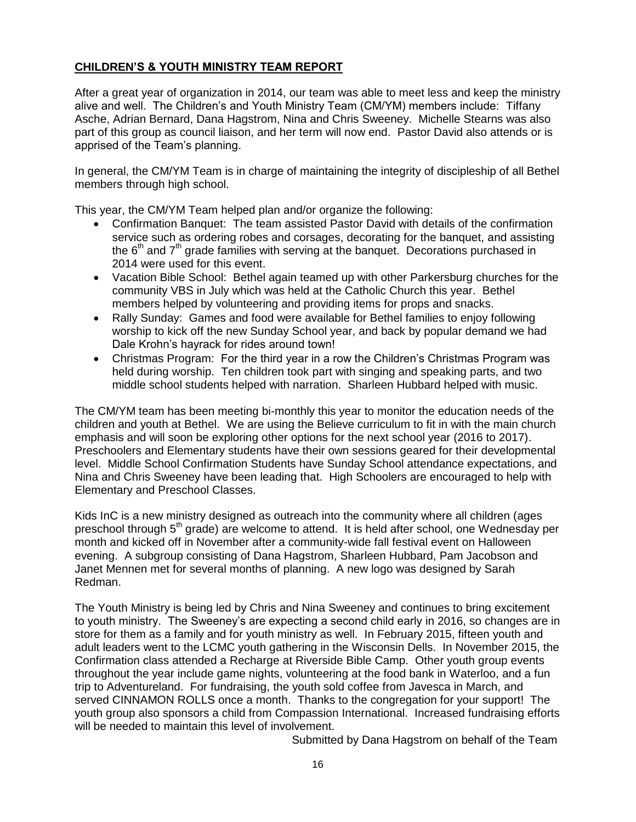### **CHILDREN'S & YOUTH MINISTRY TEAM REPORT**

After a great year of organization in 2014, our team was able to meet less and keep the ministry alive and well. The Children's and Youth Ministry Team (CM/YM) members include: Tiffany Asche, Adrian Bernard, Dana Hagstrom, Nina and Chris Sweeney. Michelle Stearns was also part of this group as council liaison, and her term will now end. Pastor David also attends or is apprised of the Team's planning.

In general, the CM/YM Team is in charge of maintaining the integrity of discipleship of all Bethel members through high school.

This year, the CM/YM Team helped plan and/or organize the following:

- Confirmation Banquet: The team assisted Pastor David with details of the confirmation service such as ordering robes and corsages, decorating for the banquet, and assisting the  $6<sup>th</sup>$  and  $7<sup>th</sup>$  grade families with serving at the banquet. Decorations purchased in 2014 were used for this event.
- Vacation Bible School: Bethel again teamed up with other Parkersburg churches for the community VBS in July which was held at the Catholic Church this year. Bethel members helped by volunteering and providing items for props and snacks.
- Rally Sunday: Games and food were available for Bethel families to enjoy following worship to kick off the new Sunday School year, and back by popular demand we had Dale Krohn's hayrack for rides around town!
- Christmas Program: For the third year in a row the Children's Christmas Program was held during worship. Ten children took part with singing and speaking parts, and two middle school students helped with narration. Sharleen Hubbard helped with music.

The CM/YM team has been meeting bi-monthly this year to monitor the education needs of the children and youth at Bethel. We are using the Believe curriculum to fit in with the main church emphasis and will soon be exploring other options for the next school year (2016 to 2017). Preschoolers and Elementary students have their own sessions geared for their developmental level. Middle School Confirmation Students have Sunday School attendance expectations, and Nina and Chris Sweeney have been leading that. High Schoolers are encouraged to help with Elementary and Preschool Classes.

Kids InC is a new ministry designed as outreach into the community where all children (ages preschool through 5<sup>th</sup> grade) are welcome to attend. It is held after school, one Wednesday per month and kicked off in November after a community-wide fall festival event on Halloween evening. A subgroup consisting of Dana Hagstrom, Sharleen Hubbard, Pam Jacobson and Janet Mennen met for several months of planning. A new logo was designed by Sarah Redman.

The Youth Ministry is being led by Chris and Nina Sweeney and continues to bring excitement to youth ministry. The Sweeney's are expecting a second child early in 2016, so changes are in store for them as a family and for youth ministry as well. In February 2015, fifteen youth and adult leaders went to the LCMC youth gathering in the Wisconsin Dells. In November 2015, the Confirmation class attended a Recharge at Riverside Bible Camp. Other youth group events throughout the year include game nights, volunteering at the food bank in Waterloo, and a fun trip to Adventureland. For fundraising, the youth sold coffee from Javesca in March, and served CINNAMON ROLLS once a month. Thanks to the congregation for your support! The youth group also sponsors a child from Compassion International. Increased fundraising efforts will be needed to maintain this level of involvement.

Submitted by Dana Hagstrom on behalf of the Team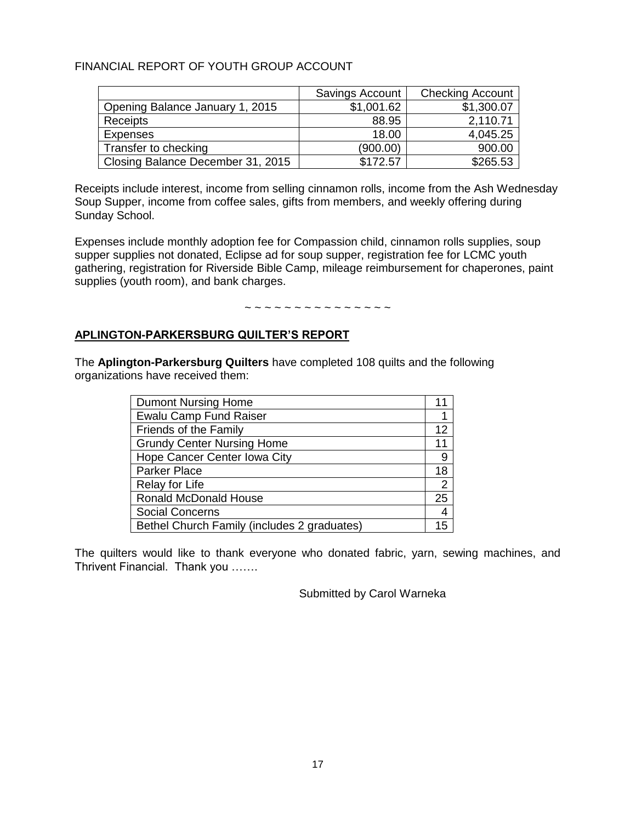### FINANCIAL REPORT OF YOUTH GROUP ACCOUNT

|                                   | Savings Account | <b>Checking Account</b> |
|-----------------------------------|-----------------|-------------------------|
| Opening Balance January 1, 2015   | \$1,001.62      | \$1,300.07              |
| Receipts                          | 88.95           | 2,110.71                |
| Expenses                          | 18.00           | 4,045.25                |
| Transfer to checking              | (900.00)        | 900.00                  |
| Closing Balance December 31, 2015 | \$172.57        | \$265.53                |

Receipts include interest, income from selling cinnamon rolls, income from the Ash Wednesday Soup Supper, income from coffee sales, gifts from members, and weekly offering during Sunday School.

Expenses include monthly adoption fee for Compassion child, cinnamon rolls supplies, soup supper supplies not donated, Eclipse ad for soup supper, registration fee for LCMC youth gathering, registration for Riverside Bible Camp, mileage reimbursement for chaperones, paint supplies (youth room), and bank charges.

~ ~ ~ ~ ~ ~ ~ ~ ~ ~ ~ ~ ~ ~ ~ ~

#### **APLINGTON-PARKERSBURG QUILTER'S REPORT**

The **Aplington-Parkersburg Quilters** have completed 108 quilts and the following organizations have received them:

| <b>Dumont Nursing Home</b>                  |                |
|---------------------------------------------|----------------|
| <b>Ewalu Camp Fund Raiser</b>               |                |
| Friends of the Family                       | 12             |
| <b>Grundy Center Nursing Home</b>           | 11             |
| Hope Cancer Center Iowa City                | 9              |
| Parker Place                                | 18             |
| Relay for Life                              | $\overline{2}$ |
| <b>Ronald McDonald House</b>                | 25             |
| <b>Social Concerns</b>                      | 4              |
| Bethel Church Family (includes 2 graduates) | 15             |

The quilters would like to thank everyone who donated fabric, yarn, sewing machines, and Thrivent Financial. Thank you …….

Submitted by Carol Warneka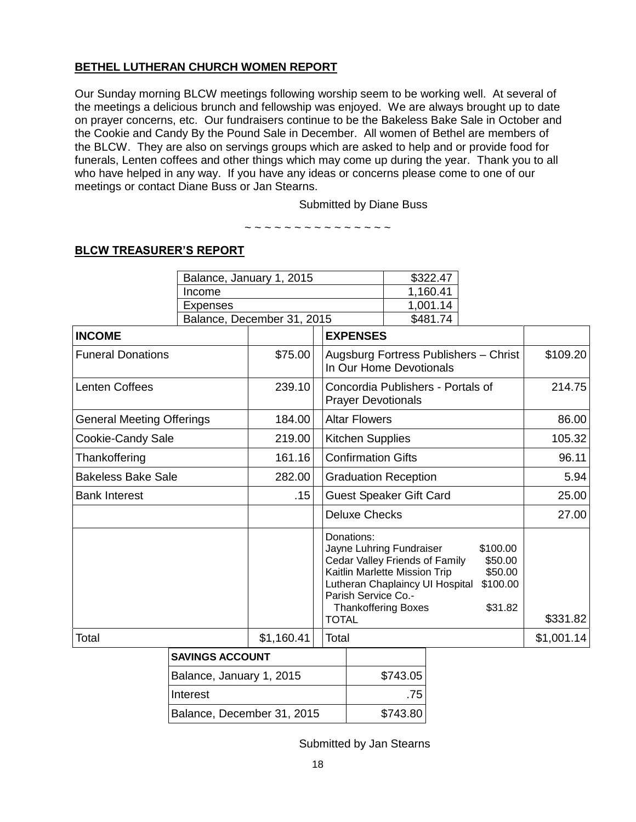#### **BETHEL LUTHERAN CHURCH WOMEN REPORT**

Our Sunday morning BLCW meetings following worship seem to be working well. At several of the meetings a delicious brunch and fellowship was enjoyed. We are always brought up to date on prayer concerns, etc. Our fundraisers continue to be the Bakeless Bake Sale in October and the Cookie and Candy By the Pound Sale in December. All women of Bethel are members of the BLCW. They are also on servings groups which are asked to help and or provide food for funerals, Lenten coffees and other things which may come up during the year. Thank you to all who have helped in any way. If you have any ideas or concerns please come to one of our meetings or contact Diane Buss or Jan Stearns.

~ ~ ~ ~ ~ ~ ~ ~ ~ ~ ~ ~ ~ ~ ~

Submitted by Diane Buss

### **BLCW TREASURER'S REPORT**

|                                  | Balance, January 1, 2015 |                            |                                                                 | \$322.47                                                                                                                       |                                                       |            |
|----------------------------------|--------------------------|----------------------------|-----------------------------------------------------------------|--------------------------------------------------------------------------------------------------------------------------------|-------------------------------------------------------|------------|
|                                  | Income                   |                            |                                                                 | 1,160.41                                                                                                                       |                                                       |            |
|                                  | <b>Expenses</b>          |                            |                                                                 | 1,001.14                                                                                                                       |                                                       |            |
|                                  |                          | Balance, December 31, 2015 |                                                                 | \$481.74                                                                                                                       |                                                       |            |
| <b>INCOME</b>                    |                          |                            | <b>EXPENSES</b>                                                 |                                                                                                                                |                                                       |            |
| <b>Funeral Donations</b>         |                          | \$75.00                    |                                                                 | Augsburg Fortress Publishers - Christ<br>In Our Home Devotionals                                                               |                                                       |            |
| <b>Lenten Coffees</b>            |                          | 239.10                     | <b>Prayer Devotionals</b>                                       | Concordia Publishers - Portals of                                                                                              |                                                       | 214.75     |
| <b>General Meeting Offerings</b> |                          | 184.00                     | <b>Altar Flowers</b>                                            |                                                                                                                                |                                                       | 86.00      |
| Cookie-Candy Sale                |                          | 219.00                     |                                                                 | <b>Kitchen Supplies</b>                                                                                                        |                                                       |            |
| Thankoffering                    |                          | 161.16                     | <b>Confirmation Gifts</b>                                       |                                                                                                                                |                                                       | 96.11      |
| <b>Bakeless Bake Sale</b>        |                          | 282.00                     | <b>Graduation Reception</b>                                     |                                                                                                                                |                                                       | 5.94       |
| <b>Bank Interest</b>             |                          | .15                        | <b>Guest Speaker Gift Card</b>                                  |                                                                                                                                |                                                       | 25.00      |
|                                  |                          |                            |                                                                 | <b>Deluxe Checks</b>                                                                                                           |                                                       |            |
|                                  | <b>TOTAL</b>             |                            | Donations:<br>Parish Service Co.-<br><b>Thankoffering Boxes</b> | Jayne Luhring Fundraiser<br>Cedar Valley Friends of Family<br>Kaitlin Marlette Mission Trip<br>Lutheran Chaplaincy UI Hospital | \$100.00<br>\$50.00<br>\$50.00<br>\$100.00<br>\$31.82 | \$331.82   |
| Total                            | \$1,160.41<br>Total      |                            |                                                                 |                                                                                                                                |                                                       | \$1,001.14 |
| CAVINGS ACCOUNT                  |                          |                            |                                                                 |                                                                                                                                |                                                       |            |

| <b>SAVINGS ACCOUNT</b>     |          |
|----------------------------|----------|
| Balance, January 1, 2015   | \$743.05 |
| Interest                   | .75      |
| Balance, December 31, 2015 | \$743.80 |

Submitted by Jan Stearns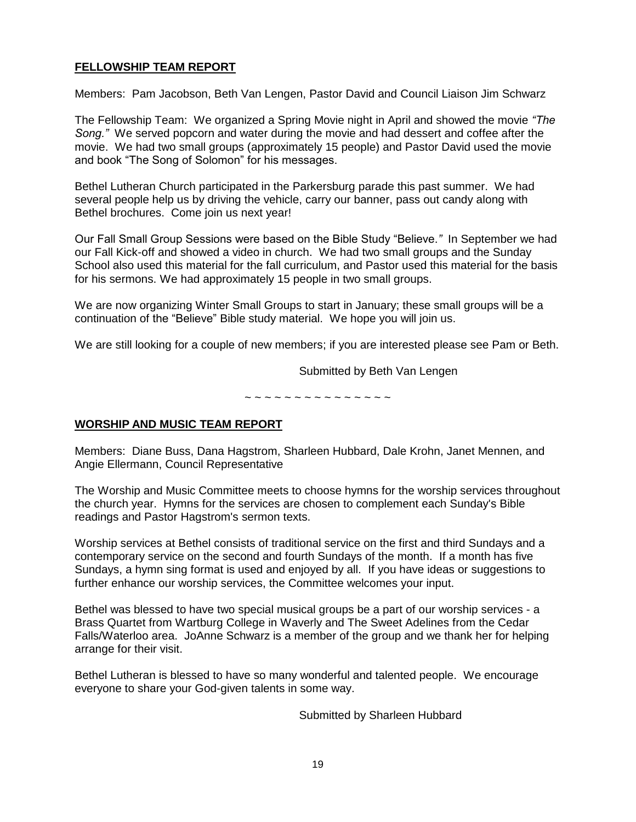#### **FELLOWSHIP TEAM REPORT**

Members: Pam Jacobson, Beth Van Lengen, Pastor David and Council Liaison Jim Schwarz

The Fellowship Team: We organized a Spring Movie night in April and showed the movie *"The Song."* We served popcorn and water during the movie and had dessert and coffee after the movie.We had two small groups (approximately 15 people) and Pastor David used the movie and book "The Song of Solomon" for his messages.

Bethel Lutheran Church participated in the Parkersburg parade this past summer. We had several people help us by driving the vehicle, carry our banner, pass out candy along with Bethel brochures. Come join us next year!

Our Fall Small Group Sessions were based on the Bible Study "Believe.*"* In September we had our Fall Kick-off and showed a video in church. We had two small groups and the Sunday School also used this material for the fall curriculum, and Pastor used this material for the basis for his sermons. We had approximately 15 people in two small groups.

We are now organizing Winter Small Groups to start in January; these small groups will be a continuation of the "Believe" Bible study material. We hope you will join us.

We are still looking for a couple of new members; if you are interested please see Pam or Beth.

Submitted by Beth Van Lengen

~ ~ ~ ~ ~ ~ ~ ~ ~ ~ ~ ~ ~ ~ ~

#### **WORSHIP AND MUSIC TEAM REPORT**

Members: Diane Buss, Dana Hagstrom, Sharleen Hubbard, Dale Krohn, Janet Mennen, and Angie Ellermann, Council Representative

The Worship and Music Committee meets to choose hymns for the worship services throughout the church year. Hymns for the services are chosen to complement each Sunday's Bible readings and Pastor Hagstrom's sermon texts.

Worship services at Bethel consists of traditional service on the first and third Sundays and a contemporary service on the second and fourth Sundays of the month. If a month has five Sundays, a hymn sing format is used and enjoyed by all. If you have ideas or suggestions to further enhance our worship services, the Committee welcomes your input.

Bethel was blessed to have two special musical groups be a part of our worship services - a Brass Quartet from Wartburg College in Waverly and The Sweet Adelines from the Cedar Falls/Waterloo area. JoAnne Schwarz is a member of the group and we thank her for helping arrange for their visit.

Bethel Lutheran is blessed to have so many wonderful and talented people. We encourage everyone to share your God-given talents in some way.

Submitted by Sharleen Hubbard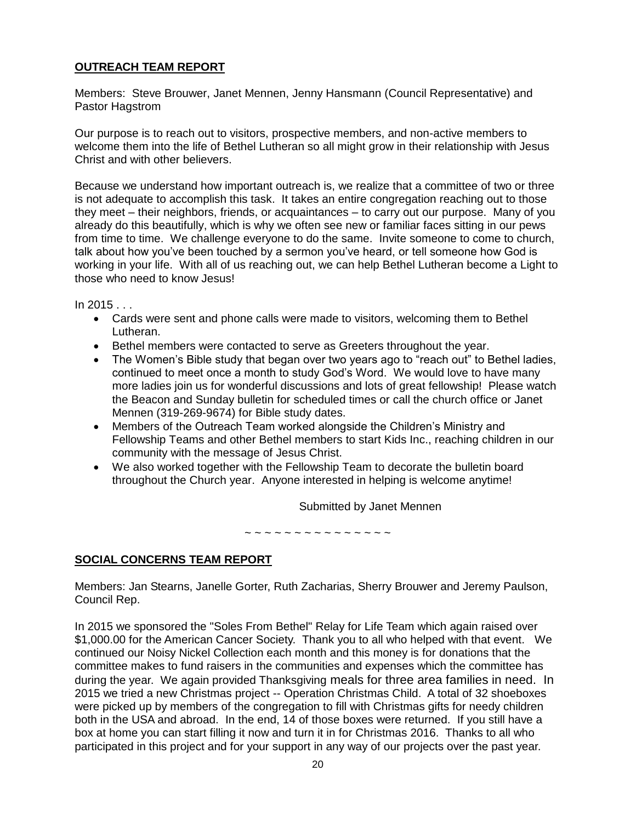#### **OUTREACH TEAM REPORT**

Members: Steve Brouwer, Janet Mennen, Jenny Hansmann (Council Representative) and Pastor Hagstrom

Our purpose is to reach out to visitors, prospective members, and non-active members to welcome them into the life of Bethel Lutheran so all might grow in their relationship with Jesus Christ and with other believers.

Because we understand how important outreach is, we realize that a committee of two or three is not adequate to accomplish this task. It takes an entire congregation reaching out to those they meet – their neighbors, friends, or acquaintances – to carry out our purpose. Many of you already do this beautifully, which is why we often see new or familiar faces sitting in our pews from time to time. We challenge everyone to do the same. Invite someone to come to church, talk about how you've been touched by a sermon you've heard, or tell someone how God is working in your life. With all of us reaching out, we can help Bethel Lutheran become a Light to those who need to know Jesus!

 $In 2015...$ 

- Cards were sent and phone calls were made to visitors, welcoming them to Bethel Lutheran.
- Bethel members were contacted to serve as Greeters throughout the year.
- The Women's Bible study that began over two years ago to "reach out" to Bethel ladies, continued to meet once a month to study God's Word. We would love to have many more ladies join us for wonderful discussions and lots of great fellowship! Please watch the Beacon and Sunday bulletin for scheduled times or call the church office or Janet Mennen (319-269-9674) for Bible study dates.
- Members of the Outreach Team worked alongside the Children's Ministry and Fellowship Teams and other Bethel members to start Kids Inc., reaching children in our community with the message of Jesus Christ.
- We also worked together with the Fellowship Team to decorate the bulletin board throughout the Church year. Anyone interested in helping is welcome anytime!

Submitted by Janet Mennen

~ ~ ~ ~ ~ ~ ~ ~ ~ ~ ~ ~ ~ ~ ~

### **SOCIAL CONCERNS TEAM REPORT**

Members: Jan Stearns, Janelle Gorter, Ruth Zacharias, Sherry Brouwer and Jeremy Paulson, Council Rep.

In 2015 we sponsored the "Soles From Bethel" Relay for Life Team which again raised over \$1,000.00 for the American Cancer Society. Thank you to all who helped with that event. We continued our Noisy Nickel Collection each month and this money is for donations that the committee makes to fund raisers in the communities and expenses which the committee has during the year. We again provided Thanksgiving meals for three area families in need. In 2015 we tried a new Christmas project -- Operation Christmas Child. A total of 32 shoeboxes were picked up by members of the congregation to fill with Christmas gifts for needy children both in the USA and abroad. In the end, 14 of those boxes were returned. If you still have a box at home you can start filling it now and turn it in for Christmas 2016. Thanks to all who participated in this project and for your support in any way of our projects over the past year.